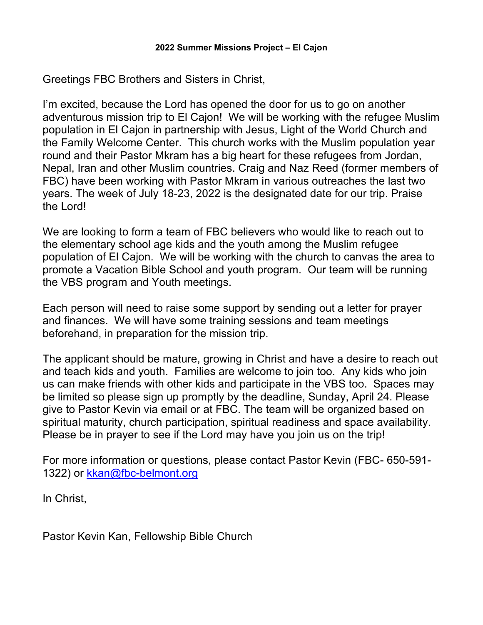Greetings FBC Brothers and Sisters in Christ,

I'm excited, because the Lord has opened the door for us to go on another adventurous mission trip to El Cajon! We will be working with the refugee Muslim population in El Cajon in partnership with Jesus, Light of the World Church and the Family Welcome Center. This church works with the Muslim population year round and their Pastor Mkram has a big heart for these refugees from Jordan, Nepal, Iran and other Muslim countries. Craig and Naz Reed (former members of FBC) have been working with Pastor Mkram in various outreaches the last two years. The week of July 18-23, 2022 is the designated date for our trip. Praise the Lord!

We are looking to form a team of FBC believers who would like to reach out to the elementary school age kids and the youth among the Muslim refugee population of El Cajon. We will be working with the church to canvas the area to promote a Vacation Bible School and youth program. Our team will be running the VBS program and Youth meetings.

Each person will need to raise some support by sending out a letter for prayer and finances. We will have some training sessions and team meetings beforehand, in preparation for the mission trip.

The applicant should be mature, growing in Christ and have a desire to reach out and teach kids and youth. Families are welcome to join too. Any kids who join us can make friends with other kids and participate in the VBS too. Spaces may be limited so please sign up promptly by the deadline, Sunday, April 24. Please give to Pastor Kevin via email or at FBC. The team will be organized based on spiritual maturity, church participation, spiritual readiness and space availability. Please be in prayer to see if the Lord may have you join us on the trip!

For more information or questions, please contact Pastor Kevin (FBC- 650-591- 1322) or kkan@fbc-belmont.org

In Christ,

Pastor Kevin Kan, Fellowship Bible Church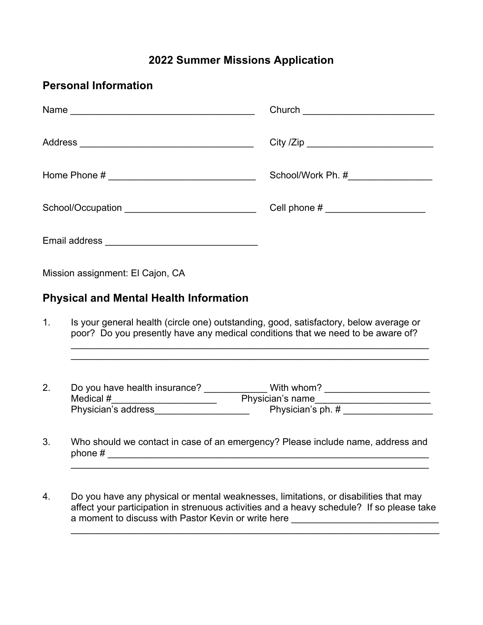## **2022 Summer Missions Application**

| <b>Personal Information</b>                       |                                                                                                                                                                                                                      |                                       |
|---------------------------------------------------|----------------------------------------------------------------------------------------------------------------------------------------------------------------------------------------------------------------------|---------------------------------------|
|                                                   |                                                                                                                                                                                                                      |                                       |
|                                                   |                                                                                                                                                                                                                      |                                       |
|                                                   |                                                                                                                                                                                                                      |                                       |
| School/Occupation _______________________________ |                                                                                                                                                                                                                      | Cell phone # ________________________ |
|                                                   |                                                                                                                                                                                                                      |                                       |
| Mission assignment: El Cajon, CA                  |                                                                                                                                                                                                                      |                                       |
|                                                   | <b>Physical and Mental Health Information</b>                                                                                                                                                                        |                                       |
| 1 <sub>1</sub>                                    | Is your general health (circle one) outstanding, good, satisfactory, below average or<br>poor? Do you presently have any medical conditions that we need to be aware of?                                             |                                       |
| 2.                                                |                                                                                                                                                                                                                      |                                       |
|                                                   |                                                                                                                                                                                                                      |                                       |
|                                                   | Physician's address______________________                                                                                                                                                                            | Physician's ph. #                     |
| 3.                                                | Who should we contact in case of an emergency? Please include name, address and<br>phone $#$<br><u> 1989 - Johann John Stone, mars eta bainar eta mondo eta mondo eta mondo eta mondo eta mondo eta mondo eta mo</u> |                                       |

4. Do you have any physical or mental weaknesses, limitations, or disabilities that may affect your participation in strenuous activities and a heavy schedule? If so please take a moment to discuss with Pastor Kevin or write here \_\_\_\_\_\_\_\_\_\_\_\_\_\_\_\_\_\_\_\_\_\_\_\_\_\_\_\_

 $\mathcal{L}_\text{G}$  , and the contribution of the contribution of the contribution of the contribution of the contribution of the contribution of the contribution of the contribution of the contribution of the contribution of t

\_\_\_\_\_\_\_\_\_\_\_\_\_\_\_\_\_\_\_\_\_\_\_\_\_\_\_\_\_\_\_\_\_\_\_\_\_\_\_\_\_\_\_\_\_\_\_\_\_\_\_\_\_\_\_\_\_\_\_\_\_\_\_\_\_\_\_\_\_\_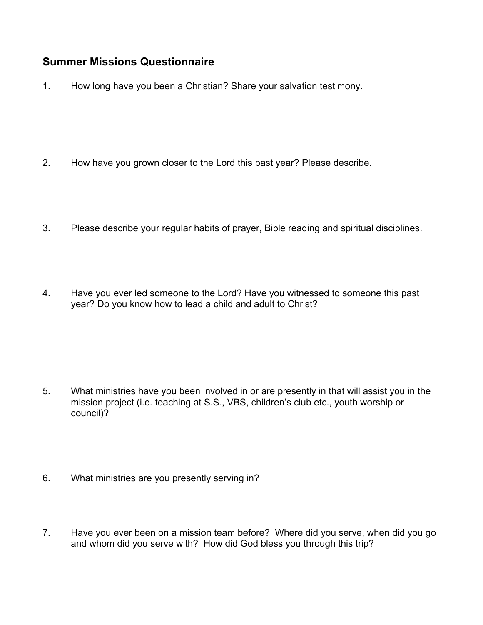## **Summer Missions Questionnaire**

1. How long have you been a Christian? Share your salvation testimony.

- 2. How have you grown closer to the Lord this past year? Please describe.
- 3. Please describe your regular habits of prayer, Bible reading and spiritual disciplines.
- 4. Have you ever led someone to the Lord? Have you witnessed to someone this past year? Do you know how to lead a child and adult to Christ?

- 5. What ministries have you been involved in or are presently in that will assist you in the mission project (i.e. teaching at S.S., VBS, children's club etc., youth worship or council)?
- 6. What ministries are you presently serving in?
- 7. Have you ever been on a mission team before? Where did you serve, when did you go and whom did you serve with? How did God bless you through this trip?